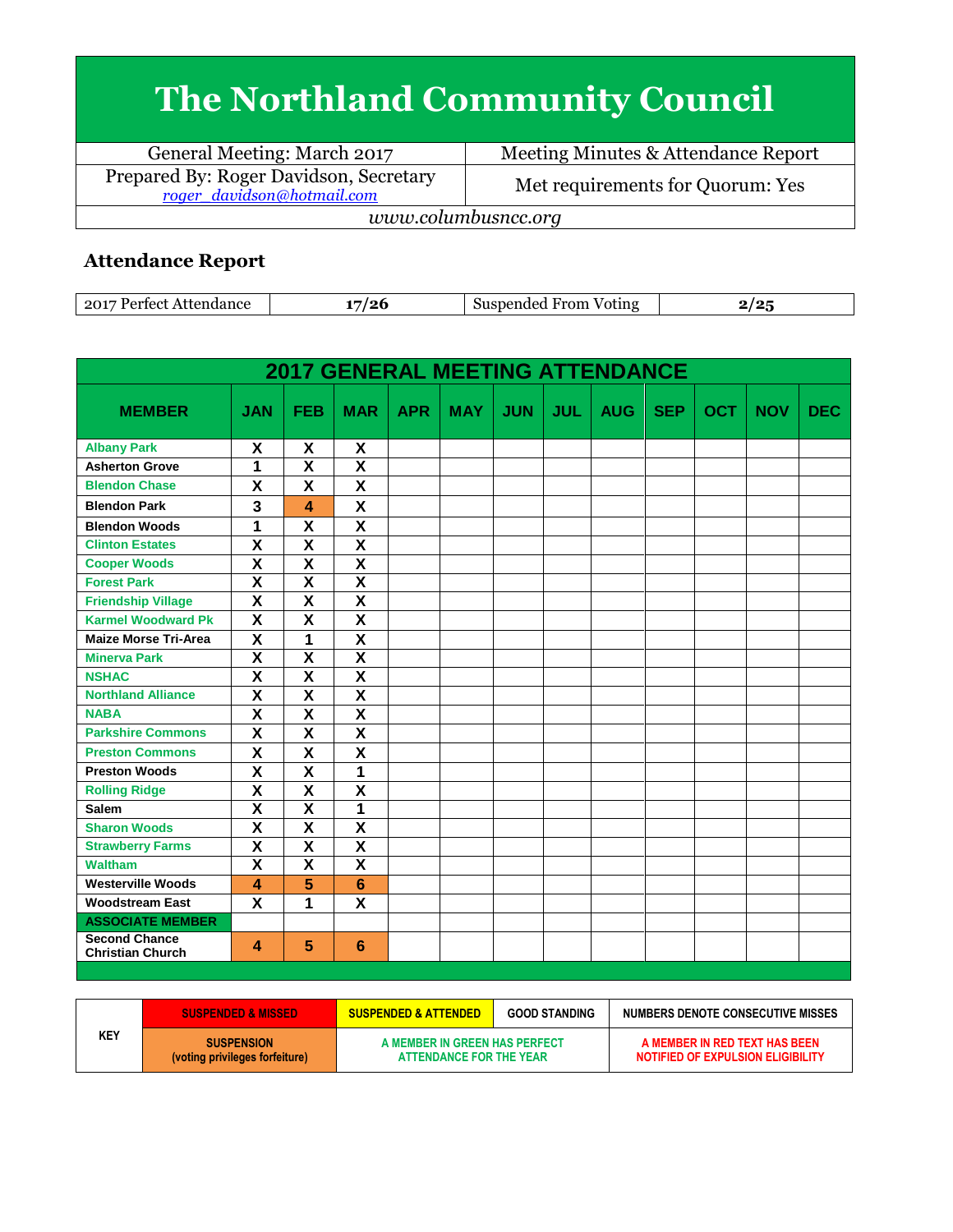## **The Northland Community Council**

General Meeting: March 2017 Meeting Minutes & Attendance Report Prepared By: Roger Davidson, Secretary<br>
<u>roger davidson@hotmail.com</u> Met requirements for Quorum: Yes *www.columbusncc.org*

## **Attendance Report**

| 2017<br>dan oo<br>Partact<br>- Affendanc |  | From<br>√oting | $\sqrt{2}$ |
|------------------------------------------|--|----------------|------------|
|------------------------------------------|--|----------------|------------|

|                                                 |                         |                         | <b>2017 GENERAL MEETING ATTENDANCE</b> |            |            |            |            |            |            |            |            |            |
|-------------------------------------------------|-------------------------|-------------------------|----------------------------------------|------------|------------|------------|------------|------------|------------|------------|------------|------------|
| <b>MEMBER</b>                                   | <b>JAN</b>              | <b>FEB</b>              | <b>MAR</b>                             | <b>APR</b> | <b>MAY</b> | <b>JUN</b> | <b>JUL</b> | <b>AUG</b> | <b>SEP</b> | <b>OCT</b> | <b>NOV</b> | <b>DEC</b> |
| <b>Albany Park</b>                              | X                       | X                       | X                                      |            |            |            |            |            |            |            |            |            |
| <b>Asherton Grove</b>                           | 1                       | $\overline{\mathbf{X}}$ | $\overline{\mathbf{x}}$                |            |            |            |            |            |            |            |            |            |
| <b>Blendon Chase</b>                            | $\overline{\mathsf{x}}$ | $\overline{\mathsf{x}}$ | $\overline{\mathsf{x}}$                |            |            |            |            |            |            |            |            |            |
| <b>Blendon Park</b>                             | 3                       | 4                       | X                                      |            |            |            |            |            |            |            |            |            |
| <b>Blendon Woods</b>                            | 1                       | $\overline{\mathbf{x}}$ | $\overline{\mathbf{x}}$                |            |            |            |            |            |            |            |            |            |
| <b>Clinton Estates</b>                          | $\overline{\mathbf{x}}$ | $\overline{\mathsf{x}}$ | $\overline{\mathsf{x}}$                |            |            |            |            |            |            |            |            |            |
| <b>Cooper Woods</b>                             | X                       | X                       | $\overline{\mathsf{x}}$                |            |            |            |            |            |            |            |            |            |
| <b>Forest Park</b>                              | $\overline{\mathsf{x}}$ | $\overline{\mathsf{x}}$ | $\overline{\mathsf{x}}$                |            |            |            |            |            |            |            |            |            |
| <b>Friendship Village</b>                       | $\overline{\mathsf{x}}$ | $\overline{\textbf{x}}$ | $\overline{\textsf{x}}$                |            |            |            |            |            |            |            |            |            |
| <b>Karmel Woodward Pk</b>                       | $\overline{\mathbf{X}}$ | X                       | $\overline{\mathbf{x}}$                |            |            |            |            |            |            |            |            |            |
| <b>Maize Morse Tri-Area</b>                     | $\overline{\textbf{x}}$ | 1                       | $\overline{\textbf{x}}$                |            |            |            |            |            |            |            |            |            |
| <b>Minerva Park</b>                             | $\overline{\mathsf{x}}$ | $\overline{\mathbf{X}}$ | $\overline{\mathbf{X}}$                |            |            |            |            |            |            |            |            |            |
| <b>NSHAC</b>                                    | $\overline{\textsf{x}}$ | $\overline{\textsf{x}}$ | $\overline{\textsf{x}}$                |            |            |            |            |            |            |            |            |            |
| <b>Northland Alliance</b>                       | $\overline{\mathsf{x}}$ | $\overline{\mathsf{x}}$ | $\overline{\textsf{x}}$                |            |            |            |            |            |            |            |            |            |
| <b>NABA</b>                                     | $\overline{\mathsf{x}}$ | $\overline{\mathsf{x}}$ | $\overline{\textsf{x}}$                |            |            |            |            |            |            |            |            |            |
| <b>Parkshire Commons</b>                        | $\overline{\mathbf{x}}$ | $\overline{\mathsf{x}}$ | $\overline{\mathbf{x}}$                |            |            |            |            |            |            |            |            |            |
| <b>Preston Commons</b>                          | $\overline{\mathsf{x}}$ | $\overline{\mathbf{x}}$ | $\overline{\mathsf{x}}$                |            |            |            |            |            |            |            |            |            |
| <b>Preston Woods</b>                            | $\overline{\mathsf{x}}$ | $\overline{\mathsf{x}}$ | 1                                      |            |            |            |            |            |            |            |            |            |
| <b>Rolling Ridge</b>                            | X                       | $\overline{\mathsf{x}}$ | $\overline{\mathsf{x}}$                |            |            |            |            |            |            |            |            |            |
| <b>Salem</b>                                    | $\overline{\mathsf{x}}$ | $\overline{\mathsf{x}}$ | 1                                      |            |            |            |            |            |            |            |            |            |
| <b>Sharon Woods</b>                             | $\overline{\mathsf{x}}$ | $\overline{\mathsf{x}}$ | $\overline{\textsf{x}}$                |            |            |            |            |            |            |            |            |            |
| <b>Strawberry Farms</b>                         | $\overline{\mathbf{X}}$ | $\overline{\mathsf{x}}$ | $\overline{\mathbf{x}}$                |            |            |            |            |            |            |            |            |            |
| <b>Waltham</b>                                  | X                       | $\overline{\mathsf{x}}$ | $\overline{\textsf{x}}$                |            |            |            |            |            |            |            |            |            |
| <b>Westerville Woods</b>                        | $\boldsymbol{\Lambda}$  | 5                       | $6\phantom{1}6$                        |            |            |            |            |            |            |            |            |            |
| <b>Woodstream East</b>                          | X                       | 1                       | X                                      |            |            |            |            |            |            |            |            |            |
| <b>ASSOCIATE MEMBER</b>                         |                         |                         |                                        |            |            |            |            |            |            |            |            |            |
| <b>Second Chance</b><br><b>Christian Church</b> | $\blacktriangle$        | $5\phantom{.0}$         | 6                                      |            |            |            |            |            |            |            |            |            |

| <b>KEY</b> | <b>SUSPENDED &amp; MISSED</b>                       | <b>SUSPENDED &amp; ATTENDED</b>                          | <b>GOOD STANDING</b> | NUMBERS DENOTE CONSECUTIVE MISSES                                  |
|------------|-----------------------------------------------------|----------------------------------------------------------|----------------------|--------------------------------------------------------------------|
|            | <b>SUSPENSION</b><br>(voting privileges forfeiture) | A MEMBER IN GREEN HAS PERFECT<br>ATTENDANCE FOR THE YEAR |                      | A MEMBER IN RED TEXT HAS BEEN<br>NOTIFIED OF EXPULSION ELIGIBILITY |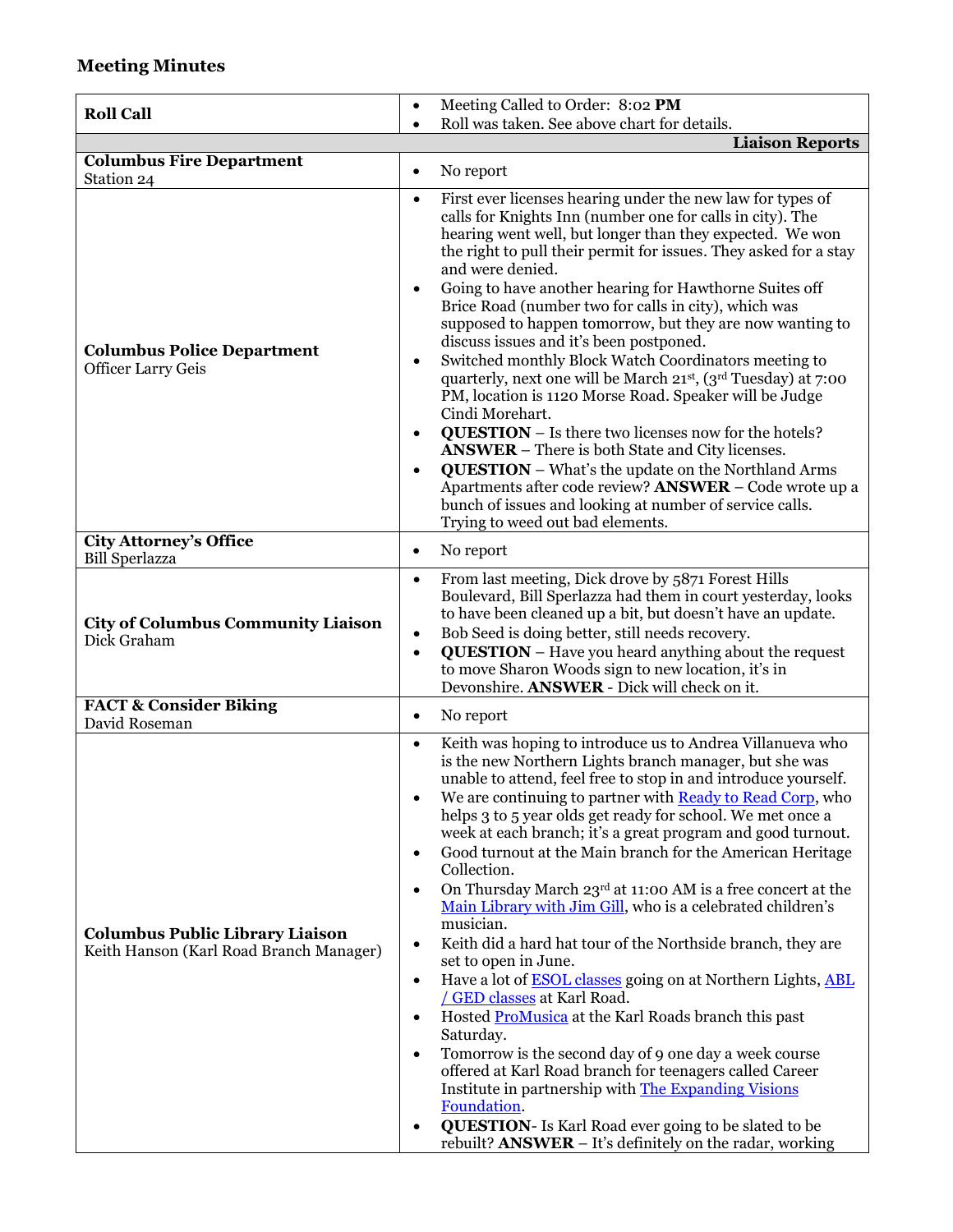## **Meeting Minutes**

| <b>Roll Call</b>                                                                  | Meeting Called to Order: 8:02 PM<br>$\bullet$                                                                                                                                                                                                                                                                                                                                                                                                                                                                                                                                                                                                                                                                                                                                                                                                                                                                                                                                                                                                                                                                                                                                                                                                                                                                                   |
|-----------------------------------------------------------------------------------|---------------------------------------------------------------------------------------------------------------------------------------------------------------------------------------------------------------------------------------------------------------------------------------------------------------------------------------------------------------------------------------------------------------------------------------------------------------------------------------------------------------------------------------------------------------------------------------------------------------------------------------------------------------------------------------------------------------------------------------------------------------------------------------------------------------------------------------------------------------------------------------------------------------------------------------------------------------------------------------------------------------------------------------------------------------------------------------------------------------------------------------------------------------------------------------------------------------------------------------------------------------------------------------------------------------------------------|
|                                                                                   | Roll was taken. See above chart for details.<br>$\bullet$<br><b>Liaison Reports</b>                                                                                                                                                                                                                                                                                                                                                                                                                                                                                                                                                                                                                                                                                                                                                                                                                                                                                                                                                                                                                                                                                                                                                                                                                                             |
| <b>Columbus Fire Department</b>                                                   |                                                                                                                                                                                                                                                                                                                                                                                                                                                                                                                                                                                                                                                                                                                                                                                                                                                                                                                                                                                                                                                                                                                                                                                                                                                                                                                                 |
| Station 24                                                                        | No report<br>٠                                                                                                                                                                                                                                                                                                                                                                                                                                                                                                                                                                                                                                                                                                                                                                                                                                                                                                                                                                                                                                                                                                                                                                                                                                                                                                                  |
| <b>Columbus Police Department</b><br><b>Officer Larry Geis</b>                    | First ever licenses hearing under the new law for types of<br>$\bullet$<br>calls for Knights Inn (number one for calls in city). The<br>hearing went well, but longer than they expected. We won<br>the right to pull their permit for issues. They asked for a stay<br>and were denied.<br>Going to have another hearing for Hawthorne Suites off<br>$\bullet$<br>Brice Road (number two for calls in city), which was<br>supposed to happen tomorrow, but they are now wanting to<br>discuss issues and it's been postponed.<br>Switched monthly Block Watch Coordinators meeting to<br>$\bullet$<br>quarterly, next one will be March 21 <sup>st</sup> , (3 <sup>rd</sup> Tuesday) at 7:00<br>PM, location is 1120 Morse Road. Speaker will be Judge<br>Cindi Morehart.<br><b>QUESTION</b> - Is there two licenses now for the hotels?<br>$\bullet$<br><b>ANSWER</b> – There is both State and City licenses.<br><b>QUESTION</b> – What's the update on the Northland Arms<br>$\bullet$<br>Apartments after code review? <b>ANSWER</b> - Code wrote up a<br>bunch of issues and looking at number of service calls.<br>Trying to weed out bad elements.                                                                                                                                                                      |
| <b>City Attorney's Office</b><br><b>Bill Sperlazza</b>                            | No report<br>$\bullet$                                                                                                                                                                                                                                                                                                                                                                                                                                                                                                                                                                                                                                                                                                                                                                                                                                                                                                                                                                                                                                                                                                                                                                                                                                                                                                          |
| <b>City of Columbus Community Liaison</b><br>Dick Graham                          | From last meeting, Dick drove by 5871 Forest Hills<br>$\bullet$<br>Boulevard, Bill Sperlazza had them in court yesterday, looks<br>to have been cleaned up a bit, but doesn't have an update.<br>Bob Seed is doing better, still needs recovery.<br>$\bullet$<br><b>QUESTION</b> – Have you heard anything about the request<br>$\bullet$<br>to move Sharon Woods sign to new location, it's in<br>Devonshire. ANSWER - Dick will check on it.                                                                                                                                                                                                                                                                                                                                                                                                                                                                                                                                                                                                                                                                                                                                                                                                                                                                                  |
| <b>FACT &amp; Consider Biking</b><br>David Roseman                                | No report<br>$\bullet$                                                                                                                                                                                                                                                                                                                                                                                                                                                                                                                                                                                                                                                                                                                                                                                                                                                                                                                                                                                                                                                                                                                                                                                                                                                                                                          |
| <b>Columbus Public Library Liaison</b><br>Keith Hanson (Karl Road Branch Manager) | Keith was hoping to introduce us to Andrea Villanueva who<br>$\bullet$<br>is the new Northern Lights branch manager, but she was<br>unable to attend, feel free to stop in and introduce yourself.<br>We are continuing to partner with <b>Ready to Read Corp</b> , who<br>$\bullet$<br>helps 3 to 5 year olds get ready for school. We met once a<br>week at each branch; it's a great program and good turnout.<br>Good turnout at the Main branch for the American Heritage<br>$\bullet$<br>Collection.<br>On Thursday March 23rd at 11:00 AM is a free concert at the<br>$\bullet$<br>Main Library with Jim Gill, who is a celebrated children's<br>musician.<br>Keith did a hard hat tour of the Northside branch, they are<br>$\bullet$<br>set to open in June.<br>Have a lot of <b>ESOL</b> classes going on at Northern Lights, <b>ABL</b><br>$\bullet$<br>/ GED classes at Karl Road.<br>Hosted ProMusica at the Karl Roads branch this past<br>$\bullet$<br>Saturday.<br>Tomorrow is the second day of 9 one day a week course<br>$\bullet$<br>offered at Karl Road branch for teenagers called Career<br>Institute in partnership with The Expanding Visions<br>Foundation.<br><b>QUESTION-</b> Is Karl Road ever going to be slated to be<br>$\bullet$<br>rebuilt? $ANSWER - It's definitely on the radar, working$ |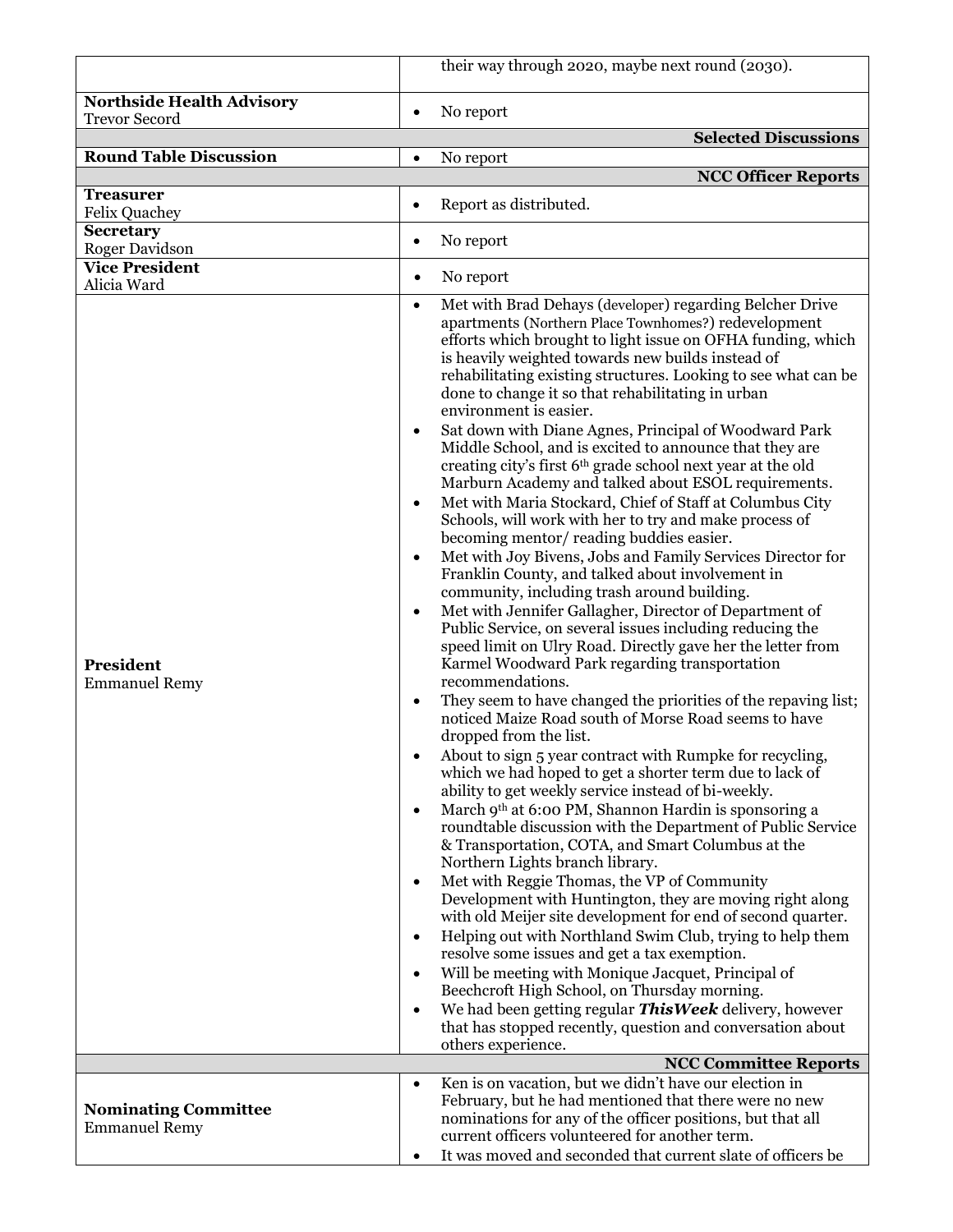|                                                     | their way through 2020, maybe next round (2030).                                                                                                                                                                                                                                                                                                                                                                                                                                                                                                                                                                                                                                                                                                                                                                                                                                                                                                                                                                                                                                                                                                                                                                                                                                                                                                                                                                                                                                                                                                                                                                                                                                                                                                                                                                                                                                                                                                                                                                                                                                                                                                                                                                                                                                                                                                                                                                                                                                                            |
|-----------------------------------------------------|-------------------------------------------------------------------------------------------------------------------------------------------------------------------------------------------------------------------------------------------------------------------------------------------------------------------------------------------------------------------------------------------------------------------------------------------------------------------------------------------------------------------------------------------------------------------------------------------------------------------------------------------------------------------------------------------------------------------------------------------------------------------------------------------------------------------------------------------------------------------------------------------------------------------------------------------------------------------------------------------------------------------------------------------------------------------------------------------------------------------------------------------------------------------------------------------------------------------------------------------------------------------------------------------------------------------------------------------------------------------------------------------------------------------------------------------------------------------------------------------------------------------------------------------------------------------------------------------------------------------------------------------------------------------------------------------------------------------------------------------------------------------------------------------------------------------------------------------------------------------------------------------------------------------------------------------------------------------------------------------------------------------------------------------------------------------------------------------------------------------------------------------------------------------------------------------------------------------------------------------------------------------------------------------------------------------------------------------------------------------------------------------------------------------------------------------------------------------------------------------------------------|
| <b>Northside Health Advisory</b>                    |                                                                                                                                                                                                                                                                                                                                                                                                                                                                                                                                                                                                                                                                                                                                                                                                                                                                                                                                                                                                                                                                                                                                                                                                                                                                                                                                                                                                                                                                                                                                                                                                                                                                                                                                                                                                                                                                                                                                                                                                                                                                                                                                                                                                                                                                                                                                                                                                                                                                                                             |
| <b>Trevor Secord</b>                                | No report<br>$\bullet$                                                                                                                                                                                                                                                                                                                                                                                                                                                                                                                                                                                                                                                                                                                                                                                                                                                                                                                                                                                                                                                                                                                                                                                                                                                                                                                                                                                                                                                                                                                                                                                                                                                                                                                                                                                                                                                                                                                                                                                                                                                                                                                                                                                                                                                                                                                                                                                                                                                                                      |
| <b>Round Table Discussion</b>                       | <b>Selected Discussions</b><br>No report<br>$\bullet$                                                                                                                                                                                                                                                                                                                                                                                                                                                                                                                                                                                                                                                                                                                                                                                                                                                                                                                                                                                                                                                                                                                                                                                                                                                                                                                                                                                                                                                                                                                                                                                                                                                                                                                                                                                                                                                                                                                                                                                                                                                                                                                                                                                                                                                                                                                                                                                                                                                       |
|                                                     | <b>NCC Officer Reports</b>                                                                                                                                                                                                                                                                                                                                                                                                                                                                                                                                                                                                                                                                                                                                                                                                                                                                                                                                                                                                                                                                                                                                                                                                                                                                                                                                                                                                                                                                                                                                                                                                                                                                                                                                                                                                                                                                                                                                                                                                                                                                                                                                                                                                                                                                                                                                                                                                                                                                                  |
| <b>Treasurer</b>                                    |                                                                                                                                                                                                                                                                                                                                                                                                                                                                                                                                                                                                                                                                                                                                                                                                                                                                                                                                                                                                                                                                                                                                                                                                                                                                                                                                                                                                                                                                                                                                                                                                                                                                                                                                                                                                                                                                                                                                                                                                                                                                                                                                                                                                                                                                                                                                                                                                                                                                                                             |
| <b>Felix Quachey</b>                                | Report as distributed.<br>$\bullet$                                                                                                                                                                                                                                                                                                                                                                                                                                                                                                                                                                                                                                                                                                                                                                                                                                                                                                                                                                                                                                                                                                                                                                                                                                                                                                                                                                                                                                                                                                                                                                                                                                                                                                                                                                                                                                                                                                                                                                                                                                                                                                                                                                                                                                                                                                                                                                                                                                                                         |
| <b>Secretary</b><br>Roger Davidson                  | No report<br>٠                                                                                                                                                                                                                                                                                                                                                                                                                                                                                                                                                                                                                                                                                                                                                                                                                                                                                                                                                                                                                                                                                                                                                                                                                                                                                                                                                                                                                                                                                                                                                                                                                                                                                                                                                                                                                                                                                                                                                                                                                                                                                                                                                                                                                                                                                                                                                                                                                                                                                              |
| <b>Vice President</b>                               |                                                                                                                                                                                                                                                                                                                                                                                                                                                                                                                                                                                                                                                                                                                                                                                                                                                                                                                                                                                                                                                                                                                                                                                                                                                                                                                                                                                                                                                                                                                                                                                                                                                                                                                                                                                                                                                                                                                                                                                                                                                                                                                                                                                                                                                                                                                                                                                                                                                                                                             |
| Alicia Ward                                         | No report<br>$\bullet$                                                                                                                                                                                                                                                                                                                                                                                                                                                                                                                                                                                                                                                                                                                                                                                                                                                                                                                                                                                                                                                                                                                                                                                                                                                                                                                                                                                                                                                                                                                                                                                                                                                                                                                                                                                                                                                                                                                                                                                                                                                                                                                                                                                                                                                                                                                                                                                                                                                                                      |
| President<br><b>Emmanuel Remy</b>                   | Met with Brad Dehays (developer) regarding Belcher Drive<br>$\bullet$<br>apartments (Northern Place Townhomes?) redevelopment<br>efforts which brought to light issue on OFHA funding, which<br>is heavily weighted towards new builds instead of<br>rehabilitating existing structures. Looking to see what can be<br>done to change it so that rehabilitating in urban<br>environment is easier.<br>Sat down with Diane Agnes, Principal of Woodward Park<br>$\bullet$<br>Middle School, and is excited to announce that they are<br>creating city's first 6 <sup>th</sup> grade school next year at the old<br>Marburn Academy and talked about ESOL requirements.<br>Met with Maria Stockard, Chief of Staff at Columbus City<br>$\bullet$<br>Schools, will work with her to try and make process of<br>becoming mentor/reading buddies easier.<br>Met with Joy Bivens, Jobs and Family Services Director for<br>$\bullet$<br>Franklin County, and talked about involvement in<br>community, including trash around building.<br>Met with Jennifer Gallagher, Director of Department of<br>$\bullet$<br>Public Service, on several issues including reducing the<br>speed limit on Ulry Road. Directly gave her the letter from<br>Karmel Woodward Park regarding transportation<br>recommendations.<br>They seem to have changed the priorities of the repaving list;<br>٠<br>noticed Maize Road south of Morse Road seems to have<br>dropped from the list.<br>About to sign 5 year contract with Rumpke for recycling,<br>which we had hoped to get a shorter term due to lack of<br>ability to get weekly service instead of bi-weekly.<br>March 9th at 6:00 PM, Shannon Hardin is sponsoring a<br>$\bullet$<br>roundtable discussion with the Department of Public Service<br>& Transportation, COTA, and Smart Columbus at the<br>Northern Lights branch library.<br>Met with Reggie Thomas, the VP of Community<br>$\bullet$<br>Development with Huntington, they are moving right along<br>with old Meijer site development for end of second quarter.<br>Helping out with Northland Swim Club, trying to help them<br>$\bullet$<br>resolve some issues and get a tax exemption.<br>Will be meeting with Monique Jacquet, Principal of<br>$\bullet$<br>Beechcroft High School, on Thursday morning.<br>We had been getting regular This Week delivery, however<br>$\bullet$<br>that has stopped recently, question and conversation about<br>others experience.<br><b>NCC Committee Reports</b> |
| <b>Nominating Committee</b><br><b>Emmanuel Remy</b> | Ken is on vacation, but we didn't have our election in<br>$\bullet$<br>February, but he had mentioned that there were no new<br>nominations for any of the officer positions, but that all<br>current officers volunteered for another term.<br>It was moved and seconded that current slate of officers be                                                                                                                                                                                                                                                                                                                                                                                                                                                                                                                                                                                                                                                                                                                                                                                                                                                                                                                                                                                                                                                                                                                                                                                                                                                                                                                                                                                                                                                                                                                                                                                                                                                                                                                                                                                                                                                                                                                                                                                                                                                                                                                                                                                                 |